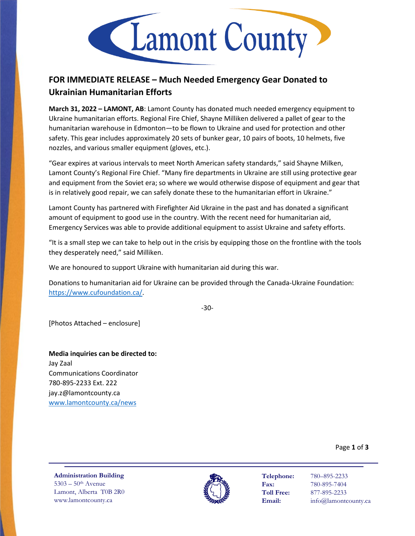

## **FOR IMMEDIATE RELEASE – Much Needed Emergency Gear Donated to Ukrainian Humanitarian Efforts**

**March 31, 2022 – LAMONT, AB**: Lamont County has donated much needed emergency equipment to Ukraine humanitarian efforts. Regional Fire Chief, Shayne Milliken delivered a pallet of gear to the humanitarian warehouse in Edmonton—to be flown to Ukraine and used for protection and other safety. This gear includes approximately 20 sets of bunker gear, 10 pairs of boots, 10 helmets, five nozzles, and various smaller equipment (gloves, etc.).

"Gear expires at various intervals to meet North American safety standards," said Shayne Milken, Lamont County's Regional Fire Chief. "Many fire departments in Ukraine are still using protective gear and equipment from the Soviet era; so where we would otherwise dispose of equipment and gear that is in relatively good repair, we can safely donate these to the humanitarian effort in Ukraine."

Lamont County has partnered with Firefighter Aid Ukraine in the past and has donated a significant amount of equipment to good use in the country. With the recent need for humanitarian aid, Emergency Services was able to provide additional equipment to assist Ukraine and safety efforts.

"It is a small step we can take to help out in the crisis by equipping those on the frontline with the tools they desperately need," said Milliken.

We are honoured to support Ukraine with humanitarian aid during this war.

Donations to humanitarian aid for Ukraine can be provided through the Canada-Ukraine Foundation: [https://www.cufoundation.ca/.](https://www.cufoundation.ca/)

-30-

[Photos Attached – enclosure]

**Media inquiries can be directed to:** Jay Zaal Communications Coordinator 780-895-2233 Ext. 222 jay.z@lamontcounty.ca [www.lamontcounty.ca/news](http://www.lamontcounty.ca/news)

Page **1** of **3**

**Administration Building** 5303 – 50th Avenue Lamont, Alberta T0B 2R0 www.lamontcounty.ca



**Telephone:** 780–895-2233 **Fax:** 780-895-7404 **Toll Free:** 877-895-2233 **Email:** info@lamontcounty.ca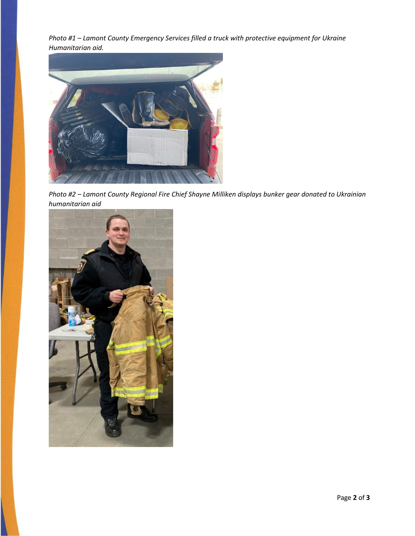*Photo #1 – Lamont County Emergency Services filled a truck with protective equipment for Ukraine Humanitarian aid.* 



*Photo #2 – Lamont County Regional Fire Chief Shayne Milliken displays bunker gear donated to Ukrainian humanitarian aid*